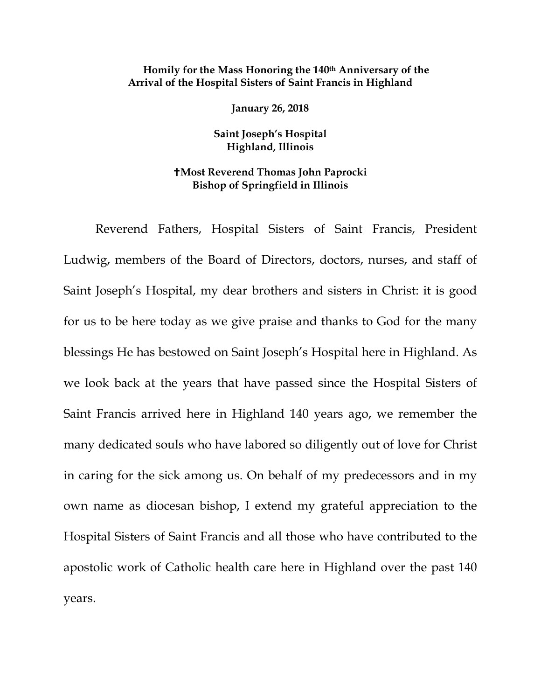## **Homily for the Mass Honoring the 140th Anniversary of the Arrival of the Hospital Sisters of Saint Francis in Highland**

**January 26, 2018** 

**Saint Joseph's Hospital Highland, Illinois** 

## **Most Reverend Thomas John Paprocki Bishop of Springfield in Illinois**

Reverend Fathers, Hospital Sisters of Saint Francis, President Ludwig, members of the Board of Directors, doctors, nurses, and staff of Saint Joseph's Hospital, my dear brothers and sisters in Christ: it is good for us to be here today as we give praise and thanks to God for the many blessings He has bestowed on Saint Joseph's Hospital here in Highland. As we look back at the years that have passed since the Hospital Sisters of Saint Francis arrived here in Highland 140 years ago, we remember the many dedicated souls who have labored so diligently out of love for Christ in caring for the sick among us. On behalf of my predecessors and in my own name as diocesan bishop, I extend my grateful appreciation to the Hospital Sisters of Saint Francis and all those who have contributed to the apostolic work of Catholic health care here in Highland over the past 140 years.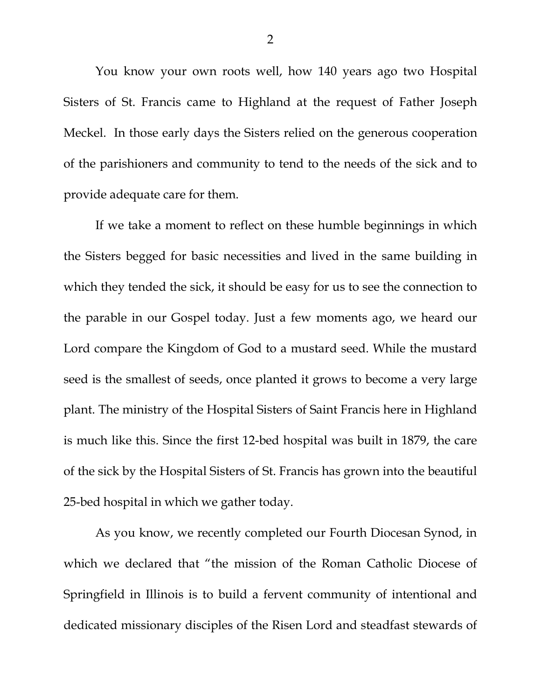You know your own roots well, how 140 years ago two Hospital Sisters of St. Francis came to Highland at the request of Father Joseph Meckel. In those early days the Sisters relied on the generous cooperation of the parishioners and community to tend to the needs of the sick and to provide adequate care for them.

If we take a moment to reflect on these humble beginnings in which the Sisters begged for basic necessities and lived in the same building in which they tended the sick, it should be easy for us to see the connection to the parable in our Gospel today. Just a few moments ago, we heard our Lord compare the Kingdom of God to a mustard seed. While the mustard seed is the smallest of seeds, once planted it grows to become a very large plant. The ministry of the Hospital Sisters of Saint Francis here in Highland is much like this. Since the first 12-bed hospital was built in 1879, the care of the sick by the Hospital Sisters of St. Francis has grown into the beautiful 25-bed hospital in which we gather today.

As you know, we recently completed our Fourth Diocesan Synod, in which we declared that "the mission of the Roman Catholic Diocese of Springfield in Illinois is to build a fervent community of intentional and dedicated missionary disciples of the Risen Lord and steadfast stewards of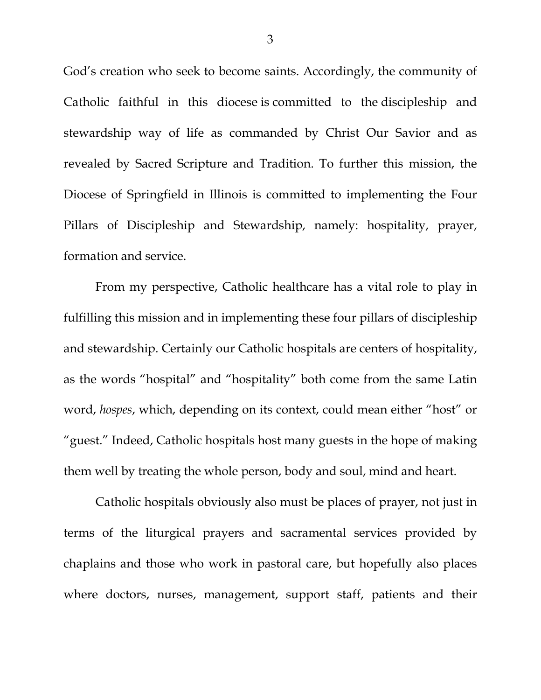God's creation who seek to become saints. Accordingly, the community of Catholic faithful in this diocese is committed to the discipleship and stewardship way of life as commanded by Christ Our Savior and as revealed by Sacred Scripture and Tradition. To further this mission, the Diocese of Springfield in Illinois is committed to implementing the Four Pillars of Discipleship and Stewardship, namely: hospitality, prayer, formation and service.

From my perspective, Catholic healthcare has a vital role to play in fulfilling this mission and in implementing these four pillars of discipleship and stewardship. Certainly our Catholic hospitals are centers of hospitality, as the words "hospital" and "hospitality" both come from the same Latin word, *hospes*, which, depending on its context, could mean either "host" or "guest." Indeed, Catholic hospitals host many guests in the hope of making them well by treating the whole person, body and soul, mind and heart.

Catholic hospitals obviously also must be places of prayer, not just in terms of the liturgical prayers and sacramental services provided by chaplains and those who work in pastoral care, but hopefully also places where doctors, nurses, management, support staff, patients and their

3